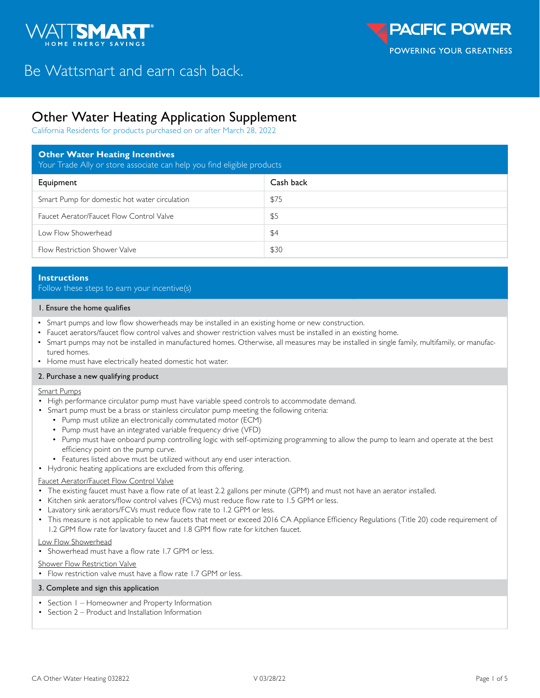

# Be Wattsmart and earn cash back.

## Other Water Heating Application Supplement

California Residents for products purchased on or after March 28, 2022

| <b>Other Water Heating Incentives</b><br>Your Trade Ally or store associate can help you find eligible products |           |  |  |  |  |  |
|-----------------------------------------------------------------------------------------------------------------|-----------|--|--|--|--|--|
| Equipment                                                                                                       | Cash back |  |  |  |  |  |
| Smart Pump for domestic hot water circulation                                                                   | \$75      |  |  |  |  |  |
| Faucet Aerator/Faucet Flow Control Valve                                                                        | \$5       |  |  |  |  |  |
| Low Flow Showerhead                                                                                             | \$4       |  |  |  |  |  |
| Flow Restriction Shower Valve                                                                                   | \$30      |  |  |  |  |  |

#### **Instructions**

Follow these steps to earn your incentive(s)

#### 1. Ensure the home qualifies

- Smart pumps and low flow showerheads may be installed in an existing home or new construction.
- Faucet aerators/faucet flow control valves and shower restriction valves must be installed in an existing home.
- Smart pumps may not be installed in manufactured homes. Otherwise, all measures may be installed in single family, multifamily, or manufactured homes.
- Home must have electrically heated domestic hot water.

#### 2. Purchase a new qualifying product

#### Smart Pumps

- High performance circulator pump must have variable speed controls to accommodate demand.
- Smart pump must be a brass or stainless circulator pump meeting the following criteria:
	- Pump must utilize an electronically commutated motor (ECM)
	- Pump must have an integrated variable frequency drive (VFD)
	- Pump must have onboard pump controlling logic with self-optimizing programming to allow the pump to learn and operate at the best efficiency point on the pump curve.
	- Features listed above must be utilized without any end user interaction.
- Hydronic heating applications are excluded from this offering.

#### Faucet Aerator/Faucet Flow Control Valve

- The existing faucet must have a flow rate of at least 2.2 gallons per minute (GPM) and must not have an aerator installed.
- Kitchen sink aerators/flow control valves (FCVs) must reduce flow rate to 1.5 GPM or less.
- Lavatory sink aerators/FCVs must reduce flow rate to 1.2 GPM or less.
- This measure is not applicable to new faucets that meet or exceed 2016 CA Appliance Efficiency Regulations (Title 20) code requirement of 1.2 GPM flow rate for lavatory faucet and 1.8 GPM flow rate for kitchen faucet.

#### Low Flow Showerhead

• Showerhead must have a flow rate 1.7 GPM or less.

#### Shower Flow Restriction Valve

• Flow restriction valve must have a flow rate 1.7 GPM or less.

#### 3. Complete and sign this application

- Section I Homeowner and Property Information
- Section 2 Product and Installation Information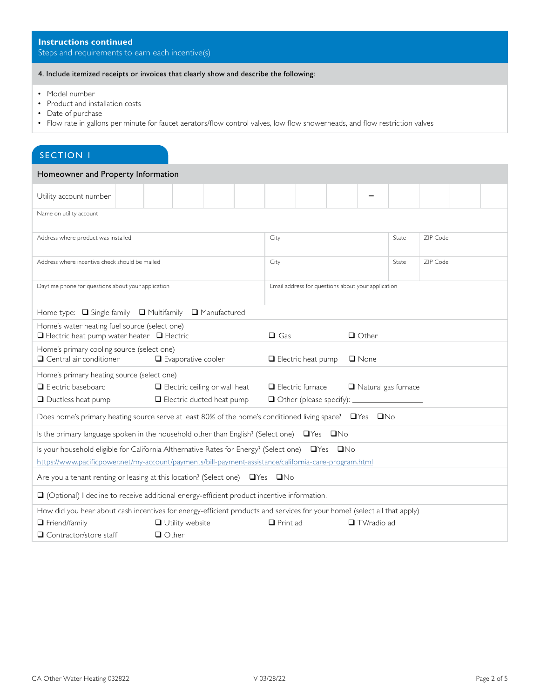Steps and requirements to earn each incentive(s)

#### 4. Include itemized receipts or invoices that clearly show and describe the following:

- Model number
- Product and installation costs
- Date of purchase
- Flow rate in gallons per minute for faucet aerators/flow control valves, low flow showerheads, and flow restriction valves

| <b>SECTION I</b>                                                                                                                      |                                      |                           |                                                                |                                                    |                                |  |  |                    |          |  |  |  |
|---------------------------------------------------------------------------------------------------------------------------------------|--------------------------------------|---------------------------|----------------------------------------------------------------|----------------------------------------------------|--------------------------------|--|--|--------------------|----------|--|--|--|
| Homeowner and Property Information                                                                                                    |                                      |                           |                                                                |                                                    |                                |  |  |                    |          |  |  |  |
| Utility account number                                                                                                                |                                      |                           |                                                                |                                                    |                                |  |  |                    |          |  |  |  |
| Name on utility account                                                                                                               |                                      |                           |                                                                |                                                    |                                |  |  |                    |          |  |  |  |
| Address where product was installed                                                                                                   |                                      |                           |                                                                | City                                               |                                |  |  | State              | ZIP Code |  |  |  |
| Address where incentive check should be mailed                                                                                        |                                      |                           |                                                                | City                                               |                                |  |  | State              | ZIP Code |  |  |  |
| Daytime phone for questions about your application                                                                                    |                                      |                           |                                                                | Email address for questions about your application |                                |  |  |                    |          |  |  |  |
| Home type: <b>Q</b> Single family <b>Q</b> Multifamily<br>Manufactured                                                                |                                      |                           |                                                                |                                                    |                                |  |  |                    |          |  |  |  |
| Home's water heating fuel source (select one)<br>$\Box$ Electric heat pump water heater $\Box$ Electric<br>$\Box$ Gas<br>$\Box$ Other |                                      |                           |                                                                |                                                    |                                |  |  |                    |          |  |  |  |
| Home's primary cooling source (select one)<br>□ Central air conditioner                                                               |                                      |                           | Evaporative cooler<br>$\Box$ Electric heat pump<br>$\Box$ None |                                                    |                                |  |  |                    |          |  |  |  |
| Home's primary heating source (select one)                                                                                            |                                      |                           |                                                                |                                                    |                                |  |  |                    |          |  |  |  |
| <b>Electric baseboard</b>                                                                                                             | $\Box$ Electric ceiling or wall heat |                           |                                                                | $\Box$ Electric furnace<br>Natural gas furnace     |                                |  |  |                    |          |  |  |  |
| <b>Q</b> Ductless heat pump                                                                                                           |                                      | Electric ducted heat pump |                                                                |                                                    | $\Box$ Other (please specify): |  |  |                    |          |  |  |  |
| Does home's primary heating source serve at least 80% of the home's conditioned living space? □ Yes □ No                              |                                      |                           |                                                                |                                                    |                                |  |  |                    |          |  |  |  |
| Is the primary language spoken in the household other than English? (Select one) $\Box$ Yes $\Box$ No                                 |                                      |                           |                                                                |                                                    |                                |  |  |                    |          |  |  |  |
| Is your household eligible for California Althernative Rates for Energy? (Select one) QYes QNo                                        |                                      |                           |                                                                |                                                    |                                |  |  |                    |          |  |  |  |
| https://www.pacificpower.net/my-account/payments/bill-payment-assistance/california-care-program.html                                 |                                      |                           |                                                                |                                                    |                                |  |  |                    |          |  |  |  |
| Are you a tenant renting or leasing at this location? (Select one) $\Box$ Yes $\Box$ No                                               |                                      |                           |                                                                |                                                    |                                |  |  |                    |          |  |  |  |
| $\Box$ (Optional) I decline to receive additional energy-efficient product incentive information.                                     |                                      |                           |                                                                |                                                    |                                |  |  |                    |          |  |  |  |
| How did you hear about cash incentives for energy-efficient products and services for your home? (select all that apply)              |                                      |                           |                                                                |                                                    |                                |  |  |                    |          |  |  |  |
| $\Box$ Friend/family                                                                                                                  |                                      | <b>Utility website</b>    |                                                                |                                                    | $\Box$ Print ad                |  |  | $\Box$ TV/radio ad |          |  |  |  |
| $\Box$ Contractor/store staff                                                                                                         | $\Box$ Other                         |                           |                                                                |                                                    |                                |  |  |                    |          |  |  |  |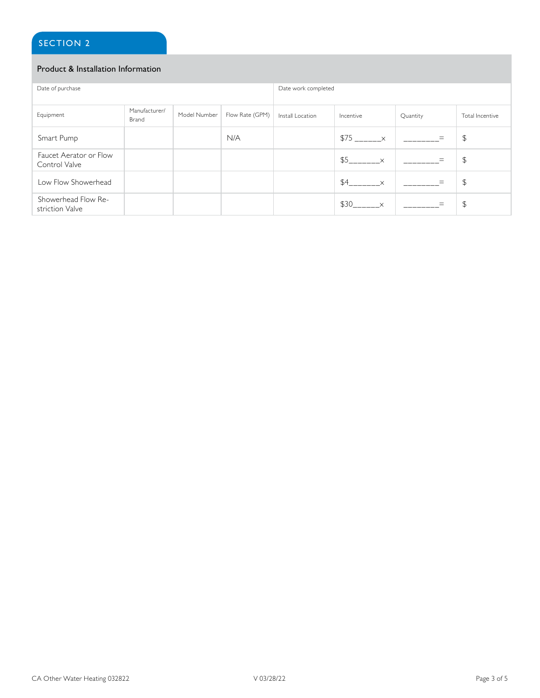## SECTION 2

#### Product & Installation Information

| Date of purchase                        |                        |              |                 | Date work completed |                     |          |                 |  |
|-----------------------------------------|------------------------|--------------|-----------------|---------------------|---------------------|----------|-----------------|--|
| Equipment                               | Manufacturer/<br>Brand | Model Number | Flow Rate (GPM) | Install Location    | Incentive           | Quantity | Total Incentive |  |
| Smart Pump                              |                        |              | N/A             |                     | $$75$ $\times$      |          | \$              |  |
| Faucet Aerator or Flow<br>Control Valve |                        |              |                 |                     | $$5$ $\times$       |          | $\mathfrak{P}$  |  |
| Low Flow Showerhead                     |                        |              |                 |                     | \$4<br>$\mathsf{x}$ |          | $\mathfrak{P}$  |  |
| Showerhead Flow Re-<br>striction Valve  |                        |              |                 |                     | \$30<br>$\times$    |          | \$              |  |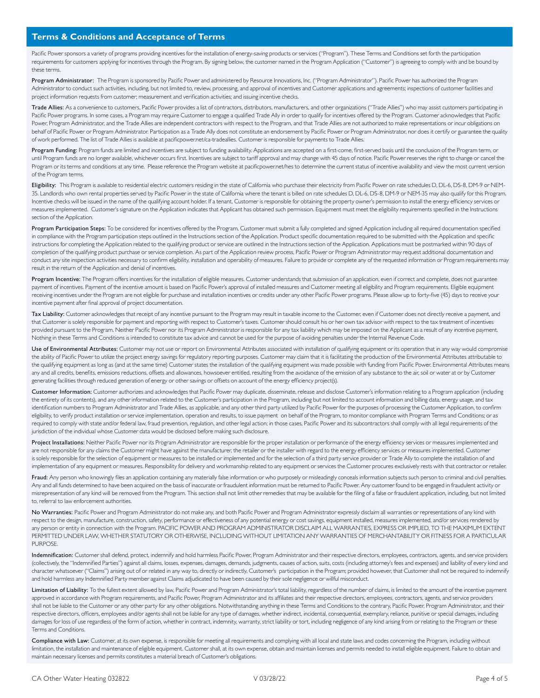Pacific Power sponsors a variety of programs providing incentives for the installation of energy-saving products or services ("Program"). These Terms and Conditions set forth the participation requirements for customers applying for incentives through the Program. By signing below, the customer named in the Program Application ("Customer") is agreeing to comply with and be bound by these terms.

Program Administrator: The Program is sponsored by Pacific Power and administered by Resource Innovations, Inc. ("Program Administrator"). Pacific Power has authorized the Program Administrator to conduct such activities, including, but not limited to, review, processing, and approval of incentives and Customer applications and agreements; inspections of customer facilities and project information requests from customer; measurement and verification activities; and issuing incentive checks.

Trade Allies: As a convenience to customers, Pacific Power provides a list of contractors, distributors, manufacturers, and other organizations ("Trade Allies") who may assist customers participating in Pacific Power programs. In some cases, a Program may require Customer to engage a qualified Trade Ally in order to qualify for incentives offered by the Program. Customer acknowledges that Pacific Power, Program Administrator, and the Trade Allies are independent contractors with respect to the Program, and that Trade Allies are not authorized to make representations or incur obligations on behalf of Pacific Power or Program Administrator. Participation as a Trade Ally does not constitute an endorsement by Pacific Power or Program Administrator, nor does it certify or guarantee the quality of work performed. The list of Trade Allies is available at pacificpower.net/ca-tradeallies. Customer is responsible for payments to Trade Allies.

Program Funding: Program funds are limited and incentives are subject to funding availability. Applications are accepted on a first-come, first-served basis until the conclusion of the Program term, or until Program funds are no longer available, whichever occurs first. Incentives are subject to tariff approval and may change with 45 days of notice. Pacific Power reserves the right to change or cancel the Program or its terms and conditions at any time. Please reference the Program website at pacificpower.net/hes to determine the current status of incentive availability and view the most current version of the Program terms.

Eligibility: This Program is available to residential electric customers residing in the state of California who purchase their electricity from Pacific Power on rate schedules D, DL-6, DS-8, DM-9 or NEM-35. Landlords who own rental properties served by Pacific Power in the state of California where the tenant is billed on rate schedules D, DL-6, DS-8, DM-9 or NEM-35 may also qualify for this Program. Incentive checks will be issued in the name of the qualifying account holder. If a tenant, Customer is responsible for obtaining the property owner's permission to install the energy efficiency services or measures implemented. Customer's signature on the Application indicates that Applicant has obtained such permission. Equipment must meet the eligibility requirements specified in the Instructions section of the Application.

Program Participation Steps: To be considered for incentives offered by the Program, Customer must submit a fully completed and signed Application including all required documentation specified in compliance with the Program participation steps outlined in the Instructions section of the Application. Product specific documentation required to be submitted with the Application and specific instructions for completing the Application related to the qualifying product or service are outlined in the Instructions section of the Application. Applications must be postmarked within 90 days of completion of the qualifying product purchase or service completion. As part of the Application review process, Pacific Power or Program Administrator may request additional documentation and conduct any site inspection activities necessary to confirm eligibility, installation and operability of measures. Failure to provide or complete any of the requested information or Program requirements may result in the return of the Application and denial of incentives.

Program Incentive: The Program offers incentives for the installation of eligible measures. Customer understands that submission of an application, even if correct and complete, does not guarantee payment of incentives. Payment of the incentive amount is based on Pacific Power's approval of installed measures and Customer meeting all eligibility and Program requirements. Eligible equipment receiving incentives under the Program are not eligible for purchase and installation incentives or credits under any other Pacific Power programs. Please allow up to forty-five (45) days to receive your incentive payment after final approval of project documentation.

Tax Liability: Customer acknowledges that receipt of any incentive pursuant to the Program may result in taxable income to the Customer, even if Customer does not directly receive a payment, and that Customer is solely responsible for payment and reporting with respect to Customer's taxes. Customer should consult his or her own tax advisor with respect to the tax treatment of incentives provided pursuant to the Program. Neither Pacific Power nor its Program Administrator is responsible for any tax liability which may be imposed on the Applicant as a result of any incentive payment. Nothing in these Terms and Conditions is intended to constitute tax advice and cannot be used for the purpose of avoiding penalties under the Internal Revenue Code.

Use of Environmental Attributes: Customer may not use or report on Environmental Attributes associated with installation of qualifying equipment or its operation that in any way would compromise the ability of Pacific Power to utilize the project energy savings for regulatory reporting purposes. Customer may claim that it is facilitating the production of the Environmental Attributes attributable to the qualifying equipment as long as (and at the same time) Customer states the installation of the qualifying equipment was made possible with funding from Pacific Power. Environmental Attributes means any and all credits, benefits, emissions reductions, offsets and allowances, howsoever entitled, resulting from the avoidance of the emission of any substance to the air, soil or water at or by Customer generating facilities through reduced generation of energy or other savings or offsets on account of the energy efficiency project(s).

Customer Information: Customer authorizes and acknowledges that Pacific Power may duplicate, disseminate, release and disclose Customer's information relating to a Program application (including the entirety of its contents), and any other information related to the Customer's participation in the Program, including but not limited to account information and billing data, energy usage, and tax identification numbers to Program Administrator and Trade Allies, as applicable, and any other third party utilized by Pacific Power for the purposes of processing the Customer Application, to confirm eligibility, to verify product installation or service implementation, operation and results, to issue payment on behalf of the Program, to monitor compliance with Program Terms and Conditions; or as required to comply with state and/or federal law, fraud prevention, regulation, and other legal action; in those cases, Pacific Power and its subcontractors shall comply with all legal requirements of the jurisdiction of the individual whose Customer data would be disclosed before making such disclosure.

Project Installations: Neither Pacific Power nor its Program Administrator are responsible for the proper installation or performance of the energy efficiency services or measures implemented and are not responsible for any claims the Customer might have against the manufacturer, the retailer or the installer with regard to the energy efficiency services or measures implemented. Customer is solely responsible for the selection of equipment or measures to be installed or implemented and for the selection of a third party service provider or Trade Ally to complete the installation of and implementation of any equipment or measures. Responsibility for delivery and workmanship related to any equipment or services the Customer procures exclusively rests with that contractor or retailer.

Fraud: Any person who knowingly files an application containing any materially false information or who purposely or misleadingly conceals information subjects such person to criminal and civil penalties. Any and all funds determined to have been acquired on the basis of inaccurate or fraudulent information must be returned to Pacific Power. Any customer found to be engaged in fraudulent activity or misrepresentation of any kind will be removed from the Program. This section shall not limit other remedies that may be available for the filing of a false or fraudulent application, including, but not limited to, referral to law enforcement authorities.

No Warranties: Pacific Power and Program Administrator do not make any, and both Pacific Power and Program Administrator expressly disclaim all warranties or representations of any kind with respect to the design, manufacture, construction, safety, performance or effectiveness of any potential energy or cost savings, equipment installed, measures implemented, and/or services rendered by any person or entity in connection with the Program. PACIFIC POWER AND PROGRAM ADMINISTRATOR DISCLAIM ALL WARRANTIES, EXPRESS OR IMPLIED, TO THE MAXIMUM EXTENT PERMITTED UNDER LAW, WHETHER STATUTORY OR OTHERWISE, INCLUDING WITHOUT LIMITATION ANY WARRANTIES OF MERCHANTABILITY OR FITNESS FOR A PARTICULAR PURPOSE.

Indemnification: Customer shall defend, protect, indemnify and hold harmless Pacific Power, Program Administrator and their respective directors, employees, contractors, agents, and service providers (collectively, the "Indemnified Parties") against all claims, losses, expenses, damages, demands, judgments, causes of action, suits, costs (including attorney's fees and expenses) and liability of every kind and character whatsoever ("Claims") arising out of or related in any way to, directly or indirectly, Customer's participation in the Program; provided however, that Customer shall not be required to indemnify and hold harmless any Indemnified Party member against Claims adjudicated to have been caused by their sole negligence or willful misconduct.

Limitation of Liability: To the fullest extent allowed by law, Pacific Power and Program Administrator's total liability, regardless of the number of claims, is limited to the amount of the incentive payment approved in accordance with Program requirements, and Pacific Power, Program Administrator and its affiliates and their respective directors, employees, contractors, agents, and service providers shall not be liable to the Customer or any other party for any other obligations. Notwithstanding anything in these Terms and Conditions to the contrary, Pacific Power, Program Administrator, and their respective directors, officers, employees and/or agents shall not be liable for any type of damages, whether indirect, incidental, consequential, exemplary, reliance, punitive or special damages, including damages for loss of use regardless of the form of action, whether in contract, indemnity, warranty, strict liability or tort, including negligence of any kind arising from or relating to the Program or these Terms and Conditions.

Compliance with Law: Customer, at its own expense, is responsible for meeting all requirements and complying with all local and state laws and codes concerning the Program, including without limitation, the installation and maintenance of eligible equipment. Customer shall, at its own expense, obtain and maintain licenses and permits needed to install eligible equipment. Failure to obtain and maintain necessary licenses and permits constitutes a material breach of Customer's obligations.